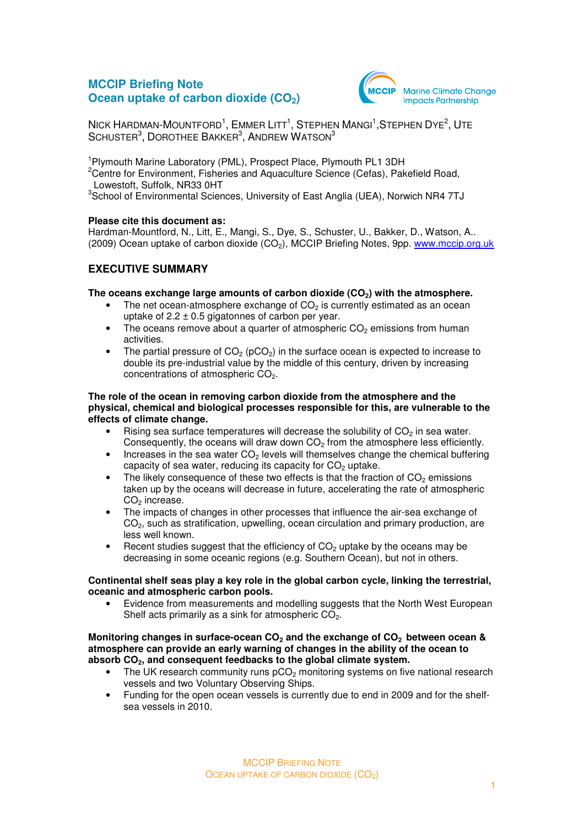# **MCCIP Briefing Note Ocean uptake of carbon dioxide (CO<sub>2</sub>)**



 $N$ ick Hardman-Mountford<sup>1</sup>, Emmer Litt<sup>1</sup>, Stephen Mangi<sup>1</sup>,Stephen Dye<sup>2</sup>, Ute  $\sf S$ CHUSTER $^3$ ,  $\sf D$ OROTHEE  $\sf B$ AKKER $^3$ ,  $\sf A$ NDREW  $\sf W$ ATSON $^3$ 

<sup>1</sup>Plymouth Marine Laboratory (PML), Prospect Place, Plymouth PL1 3DH <sup>2</sup>Centre for Environment, Fisheries and Aquaculture Science (Cefas), Pakefield Road, Lowestoft, Suffolk, NR33 0HT

<sup>3</sup>School of Environmental Sciences, University of East Anglia (UEA), Norwich NR4 7TJ

#### **Please cite this document as:**

Hardman-Mountford, N., Litt, E., Mangi, S., Dye, S., Schuster, U., Bakker, D., Watson, A.. (2009) Ocean uptake of carbon dioxide  $(CO<sub>2</sub>)$ , MCCIP Briefing Notes, 9pp. www.mccip.org.uk

## **EXECUTIVE SUMMARY**

#### **The oceans exchange large amounts of carbon dioxide (CO2) with the atmosphere.**

- The net ocean-atmosphere exchange of  $CO<sub>2</sub>$  is currently estimated as an ocean uptake of  $2.2 \pm 0.5$  gigatonnes of carbon per year.
- The oceans remove about a quarter of atmospheric  $CO<sub>2</sub>$  emissions from human activities.
- The partial pressure of  $CO<sub>2</sub>$  (pCO<sub>2</sub>) in the surface ocean is expected to increase to double its pre-industrial value by the middle of this century, driven by increasing concentrations of atmospheric  $CO<sub>2</sub>$ .

#### **The role of the ocean in removing carbon dioxide from the atmosphere and the physical, chemical and biological processes responsible for this, are vulnerable to the effects of climate change.**

- Rising sea surface temperatures will decrease the solubility of  $CO<sub>2</sub>$  in sea water. Consequently, the oceans will draw down  $CO<sub>2</sub>$  from the atmosphere less efficiently.
- Increases in the sea water  $CO<sub>2</sub>$  levels will themselves change the chemical buffering capacity of sea water, reducing its capacity for  $CO<sub>2</sub>$  uptake.
- The likely consequence of these two effects is that the fraction of  $CO<sub>2</sub>$  emissions taken up by the oceans will decrease in future, accelerating the rate of atmospheric  $CO<sub>2</sub>$  increase.
- The impacts of changes in other processes that influence the air-sea exchange of  $CO<sub>2</sub>$ , such as stratification, upwelling, ocean circulation and primary production, are less well known.
- Recent studies suggest that the efficiency of  $CO<sub>2</sub>$  uptake by the oceans may be decreasing in some oceanic regions (e.g. Southern Ocean), but not in others.

#### **Continental shelf seas play a key role in the global carbon cycle, linking the terrestrial, oceanic and atmospheric carbon pools.**

• Evidence from measurements and modelling suggests that the North West European Shelf acts primarily as a sink for atmospheric  $CO<sub>2</sub>$ .

#### **Monitoring changes in surface-ocean CO2 and the exchange of CO2 between ocean & atmosphere can provide an early warning of changes in the ability of the ocean to absorb CO2, and consequent feedbacks to the global climate system.**

- The UK research community runs  $pCO<sub>2</sub>$  monitoring systems on five national research vessels and two Voluntary Observing Ships.
- Funding for the open ocean vessels is currently due to end in 2009 and for the shelfsea vessels in 2010.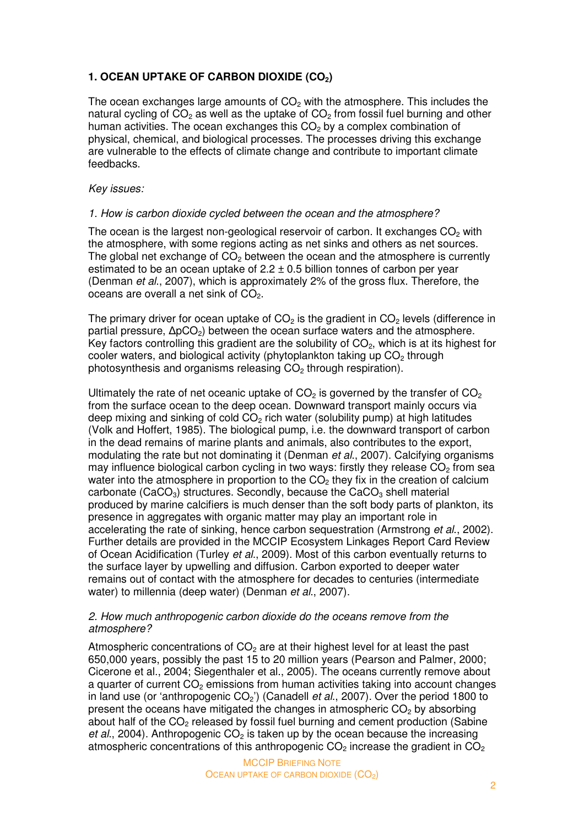# **1. OCEAN UPTAKE OF CARBON DIOXIDE (CO2)**

The ocean exchanges large amounts of  $CO<sub>2</sub>$  with the atmosphere. This includes the natural cycling of  $CO<sub>2</sub>$  as well as the uptake of  $CO<sub>2</sub>$  from fossil fuel burning and other human activities. The ocean exchanges this  $CO<sub>2</sub>$  by a complex combination of physical, chemical, and biological processes. The processes driving this exchange are vulnerable to the effects of climate change and contribute to important climate feedbacks.

### Key issues:

## 1. How is carbon dioxide cycled between the ocean and the atmosphere?

The ocean is the largest non-geological reservoir of carbon. It exchanges  $CO<sub>2</sub>$  with the atmosphere, with some regions acting as net sinks and others as net sources. The global net exchange of  $CO<sub>2</sub>$  between the ocean and the atmosphere is currently estimated to be an ocean uptake of  $2.2 \pm 0.5$  billion tonnes of carbon per year (Denman et al., 2007), which is approximately 2% of the gross flux. Therefore, the oceans are overall a net sink of  $CO<sub>2</sub>$ .

The primary driver for ocean uptake of  $CO<sub>2</sub>$  is the gradient in  $CO<sub>2</sub>$  levels (difference in partial pressure,  $ΔpCO<sub>2</sub>$ ) between the ocean surface waters and the atmosphere. Key factors controlling this gradient are the solubility of  $CO<sub>2</sub>$ , which is at its highest for cooler waters, and biological activity (phytoplankton taking up  $CO<sub>2</sub>$  through photosynthesis and organisms releasing  $CO<sub>2</sub>$  through respiration).

Ultimately the rate of net oceanic uptake of  $CO<sub>2</sub>$  is governed by the transfer of  $CO<sub>2</sub>$ from the surface ocean to the deep ocean. Downward transport mainly occurs via deep mixing and sinking of cold  $CO<sub>2</sub>$  rich water (solubility pump) at high latitudes (Volk and Hoffert, 1985). The biological pump, i.e. the downward transport of carbon in the dead remains of marine plants and animals, also contributes to the export, modulating the rate but not dominating it (Denman et al., 2007). Calcifying organisms may influence biological carbon cycling in two ways: firstly they release  $CO<sub>2</sub>$  from sea water into the atmosphere in proportion to the  $CO<sub>2</sub>$  they fix in the creation of calcium carbonate (CaCO<sub>3</sub>) structures. Secondly, because the CaCO<sub>3</sub> shell material produced by marine calcifiers is much denser than the soft body parts of plankton, its presence in aggregates with organic matter may play an important role in accelerating the rate of sinking, hence carbon sequestration (Armstrong et al., 2002). Further details are provided in the MCCIP Ecosystem Linkages Report Card Review of Ocean Acidification (Turley et al., 2009). Most of this carbon eventually returns to the surface layer by upwelling and diffusion. Carbon exported to deeper water remains out of contact with the atmosphere for decades to centuries (intermediate water) to millennia (deep water) (Denman *et al.*, 2007).

## 2. How much anthropogenic carbon dioxide do the oceans remove from the atmosphere?

Atmospheric concentrations of  $CO<sub>2</sub>$  are at their highest level for at least the past 650,000 years, possibly the past 15 to 20 million years (Pearson and Palmer, 2000; Cicerone et al., 2004; Siegenthaler et al., 2005). The oceans currently remove about a quarter of current CO<sub>2</sub> emissions from human activities taking into account changes in land use (or 'anthropogenic  $CO<sub>2</sub>$ ') (Canadell *et al.*, 2007). Over the period 1800 to present the oceans have mitigated the changes in atmospheric  $CO<sub>2</sub>$  by absorbing about half of the  $CO<sub>2</sub>$  released by fossil fuel burning and cement production (Sabine et al., 2004). Anthropogenic  $CO<sub>2</sub>$  is taken up by the ocean because the increasing atmospheric concentrations of this anthropogenic  $CO<sub>2</sub>$  increase the gradient in  $CO<sub>2</sub>$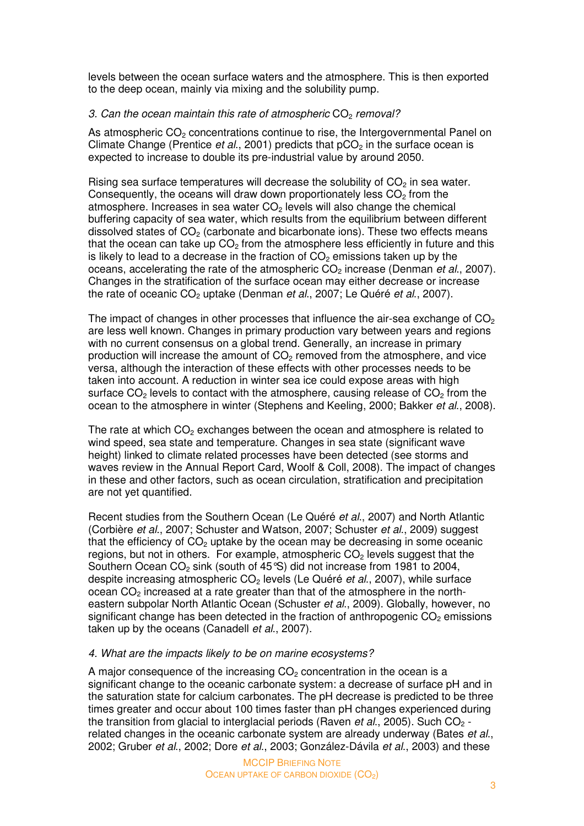levels between the ocean surface waters and the atmosphere. This is then exported to the deep ocean, mainly via mixing and the solubility pump.

## 3. Can the ocean maintain this rate of atmospheric  $CO<sub>2</sub>$  removal?

As atmospheric  $CO<sub>2</sub>$  concentrations continue to rise, the Intergovernmental Panel on Climate Change (Prentice et al., 2001) predicts that  $pCO<sub>2</sub>$  in the surface ocean is expected to increase to double its pre-industrial value by around 2050.

Rising sea surface temperatures will decrease the solubility of  $CO<sub>2</sub>$  in sea water. Consequently, the oceans will draw down proportionately less  $CO<sub>2</sub>$  from the atmosphere. Increases in sea water  $CO<sub>2</sub>$  levels will also change the chemical buffering capacity of sea water, which results from the equilibrium between different dissolved states of  $CO<sub>2</sub>$  (carbonate and bicarbonate ions). These two effects means that the ocean can take up  $CO<sub>2</sub>$  from the atmosphere less efficiently in future and this is likely to lead to a decrease in the fraction of  $CO<sub>2</sub>$  emissions taken up by the oceans, accelerating the rate of the atmospheric  $CO<sub>2</sub>$  increase (Denman et al., 2007). Changes in the stratification of the surface ocean may either decrease or increase the rate of oceanic  $CO<sub>2</sub>$  uptake (Denman *et al.*, 2007; Le Quéré *et al.*, 2007).

The impact of changes in other processes that influence the air-sea exchange of  $CO<sub>2</sub>$ are less well known. Changes in primary production vary between years and regions with no current consensus on a global trend. Generally, an increase in primary production will increase the amount of  $CO<sub>2</sub>$  removed from the atmosphere, and vice versa, although the interaction of these effects with other processes needs to be taken into account. A reduction in winter sea ice could expose areas with high surface  $CO<sub>2</sub>$  levels to contact with the atmosphere, causing release of  $CO<sub>2</sub>$  from the ocean to the atmosphere in winter (Stephens and Keeling, 2000; Bakker et al., 2008).

The rate at which  $CO<sub>2</sub>$  exchanges between the ocean and atmosphere is related to wind speed, sea state and temperature. Changes in sea state (significant wave height) linked to climate related processes have been detected (see storms and waves review in the Annual Report Card, Woolf & Coll, 2008). The impact of changes in these and other factors, such as ocean circulation, stratification and precipitation are not yet quantified.

Recent studies from the Southern Ocean (Le Quéré et al., 2007) and North Atlantic (Corbière et al., 2007; Schuster and Watson, 2007; Schuster et al., 2009) suggest that the efficiency of  $CO<sub>2</sub>$  uptake by the ocean may be decreasing in some oceanic regions, but not in others. For example, atmospheric  $CO<sub>2</sub>$  levels suggest that the Southern Ocean  $CO<sub>2</sub>$  sink (south of 45°S) did not increase from 1981 to 2004, despite increasing atmospheric  $CO<sub>2</sub>$  levels (Le Quéré et al., 2007), while surface ocean  $CO<sub>2</sub>$  increased at a rate greater than that of the atmosphere in the northeastern subpolar North Atlantic Ocean (Schuster et al., 2009). Globally, however, no significant change has been detected in the fraction of anthropogenic  $CO<sub>2</sub>$  emissions taken up by the oceans (Canadell et al., 2007).

## 4. What are the impacts likely to be on marine ecosystems?

A major consequence of the increasing  $CO<sub>2</sub>$  concentration in the ocean is a significant change to the oceanic carbonate system: a decrease of surface pH and in the saturation state for calcium carbonates. The pH decrease is predicted to be three times greater and occur about 100 times faster than pH changes experienced during the transition from glacial to interglacial periods (Raven *et al.*, 2005). Such  $CO<sub>2</sub>$ related changes in the oceanic carbonate system are already underway (Bates et al., 2002; Gruber et al., 2002; Dore et al., 2003; González-Dávila et al., 2003) and these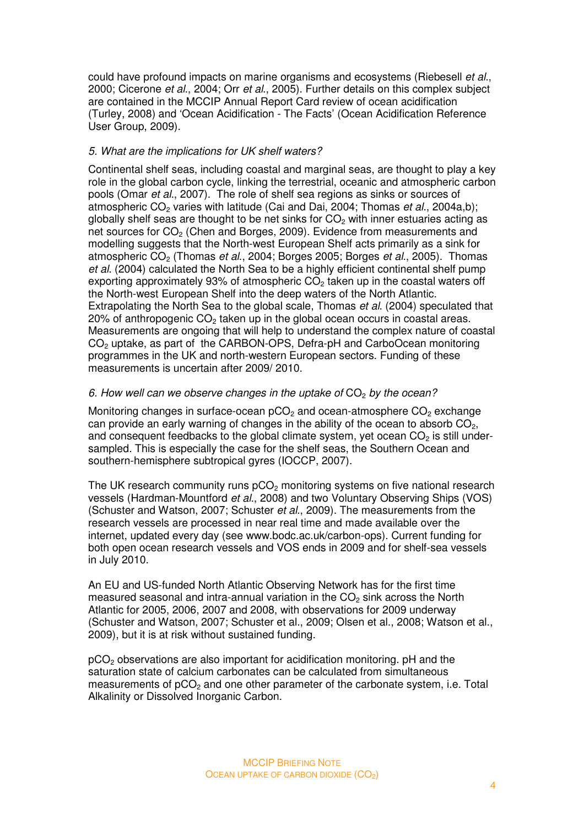could have profound impacts on marine organisms and ecosystems (Riebesell et al., 2000; Cicerone et al., 2004; Orr et al., 2005). Further details on this complex subject are contained in the MCCIP Annual Report Card review of ocean acidification (Turley, 2008) and 'Ocean Acidification - The Facts' (Ocean Acidification Reference User Group, 2009).

## 5. What are the implications for UK shelf waters?

Continental shelf seas, including coastal and marginal seas, are thought to play a key role in the global carbon cycle, linking the terrestrial, oceanic and atmospheric carbon pools (Omar et al., 2007). The role of shelf sea regions as sinks or sources of atmospheric  $CO<sub>2</sub>$  varies with latitude (Cai and Dai, 2004; Thomas *et al.*, 2004a,b); globally shelf seas are thought to be net sinks for  $CO<sub>2</sub>$  with inner estuaries acting as net sources for CO<sub>2</sub> (Chen and Borges, 2009). Evidence from measurements and modelling suggests that the North-west European Shelf acts primarily as a sink for atmospheric  $CO<sub>2</sub>$  (Thomas *et al.*, 2004; Borges 2005; Borges *et al.*, 2005). Thomas et al. (2004) calculated the North Sea to be a highly efficient continental shelf pump exporting approximately 93% of atmospheric  $CO<sub>2</sub>$  taken up in the coastal waters off the North-west European Shelf into the deep waters of the North Atlantic. Extrapolating the North Sea to the global scale, Thomas et al. (2004) speculated that  $20\%$  of anthropogenic CO<sub>2</sub> taken up in the global ocean occurs in coastal areas. Measurements are ongoing that will help to understand the complex nature of coastal CO2 uptake, as part of the CARBON-OPS, Defra-pH and CarboOcean monitoring programmes in the UK and north-western European sectors. Funding of these measurements is uncertain after 2009/ 2010.

## 6. How well can we observe changes in the uptake of  $CO<sub>2</sub>$  by the ocean?

Monitoring changes in surface-ocean  $pCO<sub>2</sub>$  and ocean-atmosphere  $CO<sub>2</sub>$  exchange can provide an early warning of changes in the ability of the ocean to absorb  $CO<sub>2</sub>$ , and consequent feedbacks to the global climate system, yet ocean  $CO<sub>2</sub>$  is still undersampled. This is especially the case for the shelf seas, the Southern Ocean and southern-hemisphere subtropical gyres (IOCCP, 2007).

The UK research community runs  $pCO<sub>2</sub>$  monitoring systems on five national research vessels (Hardman-Mountford et al., 2008) and two Voluntary Observing Ships (VOS) (Schuster and Watson, 2007; Schuster et al., 2009). The measurements from the research vessels are processed in near real time and made available over the internet, updated every day (see www.bodc.ac.uk/carbon-ops). Current funding for both open ocean research vessels and VOS ends in 2009 and for shelf-sea vessels in July 2010.

An EU and US-funded North Atlantic Observing Network has for the first time measured seasonal and intra-annual variation in the  $CO<sub>2</sub>$  sink across the North Atlantic for 2005, 2006, 2007 and 2008, with observations for 2009 underway (Schuster and Watson, 2007; Schuster et al., 2009; Olsen et al., 2008; Watson et al., 2009), but it is at risk without sustained funding.

pCO2 observations are also important for acidification monitoring. pH and the saturation state of calcium carbonates can be calculated from simultaneous measurements of pCO<sub>2</sub> and one other parameter of the carbonate system, i.e. Total Alkalinity or Dissolved Inorganic Carbon.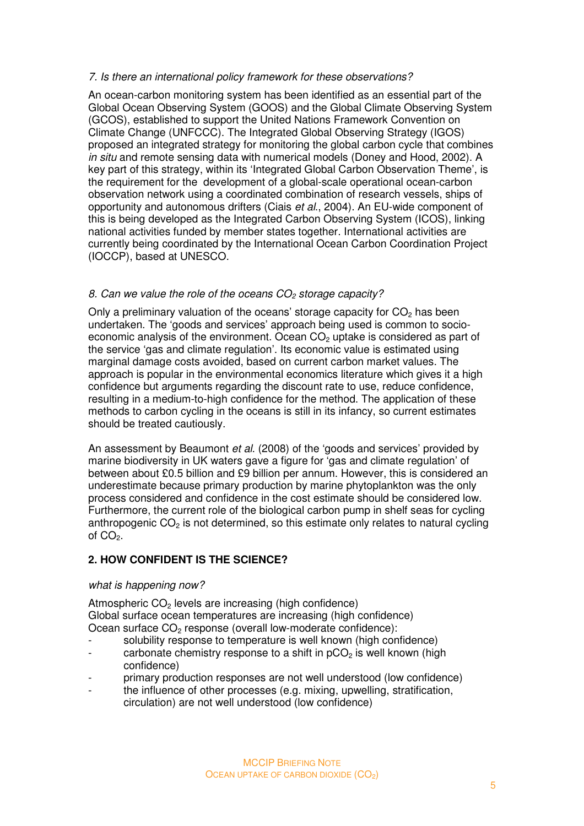## 7. Is there an international policy framework for these observations?

An ocean-carbon monitoring system has been identified as an essential part of the Global Ocean Observing System (GOOS) and the Global Climate Observing System (GCOS), established to support the United Nations Framework Convention on Climate Change (UNFCCC). The Integrated Global Observing Strategy (IGOS) proposed an integrated strategy for monitoring the global carbon cycle that combines in situ and remote sensing data with numerical models (Doney and Hood, 2002). A key part of this strategy, within its 'Integrated Global Carbon Observation Theme', is the requirement for the development of a global-scale operational ocean-carbon observation network using a coordinated combination of research vessels, ships of opportunity and autonomous drifters (Ciais et al., 2004). An EU-wide component of this is being developed as the Integrated Carbon Observing System (ICOS), linking national activities funded by member states together. International activities are currently being coordinated by the International Ocean Carbon Coordination Project (IOCCP), based at UNESCO.

## 8. Can we value the role of the oceans  $CO<sub>2</sub>$  storage capacity?

Only a preliminary valuation of the oceans' storage capacity for  $CO<sub>2</sub>$  has been undertaken. The 'goods and services' approach being used is common to socioeconomic analysis of the environment. Ocean  $CO<sub>2</sub>$  uptake is considered as part of the service 'gas and climate regulation'. Its economic value is estimated using marginal damage costs avoided, based on current carbon market values. The approach is popular in the environmental economics literature which gives it a high confidence but arguments regarding the discount rate to use, reduce confidence, resulting in a medium-to-high confidence for the method. The application of these methods to carbon cycling in the oceans is still in its infancy, so current estimates should be treated cautiously.

An assessment by Beaumont et al. (2008) of the 'goods and services' provided by marine biodiversity in UK waters gave a figure for 'gas and climate regulation' of between about £0.5 billion and £9 billion per annum. However, this is considered an underestimate because primary production by marine phytoplankton was the only process considered and confidence in the cost estimate should be considered low. Furthermore, the current role of the biological carbon pump in shelf seas for cycling anthropogenic  $CO<sub>2</sub>$  is not determined, so this estimate only relates to natural cycling of  $CO<sub>2</sub>$ .

## **2. HOW CONFIDENT IS THE SCIENCE?**

#### what is happening now?

Atmospheric  $CO<sub>2</sub>$  levels are increasing (high confidence) Global surface ocean temperatures are increasing (high confidence) Ocean surface CO<sub>2</sub> response (overall low-moderate confidence):

- solubility response to temperature is well known (high confidence)
- carbonate chemistry response to a shift in  $pCO<sub>2</sub>$  is well known (high confidence)
- primary production responses are not well understood (low confidence)
- the influence of other processes (e.g. mixing, upwelling, stratification, circulation) are not well understood (low confidence)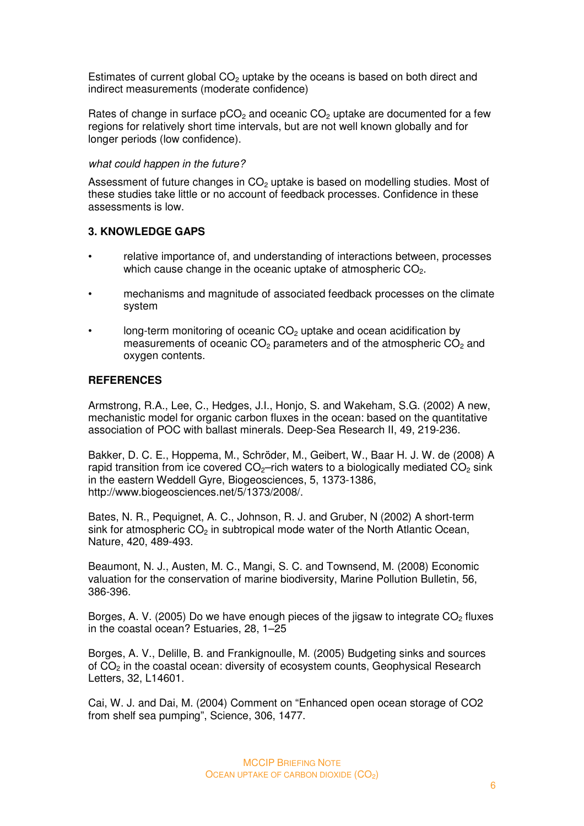Estimates of current global  $CO<sub>2</sub>$  uptake by the oceans is based on both direct and indirect measurements (moderate confidence)

Rates of change in surface  $pCO<sub>2</sub>$  and oceanic  $CO<sub>2</sub>$  uptake are documented for a few regions for relatively short time intervals, but are not well known globally and for longer periods (low confidence).

### what could happen in the future?

Assessment of future changes in  $CO<sub>2</sub>$  uptake is based on modelling studies. Most of these studies take little or no account of feedback processes. Confidence in these assessments is low.

# **3. KNOWLEDGE GAPS**

- relative importance of, and understanding of interactions between, processes which cause change in the oceanic uptake of atmospheric  $CO<sub>2</sub>$ .
- mechanisms and magnitude of associated feedback processes on the climate system
- long-term monitoring of oceanic  $CO<sub>2</sub>$  uptake and ocean acidification by measurements of oceanic  $CO<sub>2</sub>$  parameters and of the atmospheric  $CO<sub>2</sub>$  and oxygen contents.

## **REFERENCES**

Armstrong, R.A., Lee, C., Hedges, J.I., Honjo, S. and Wakeham, S.G. (2002) A new, mechanistic model for organic carbon fluxes in the ocean: based on the quantitative association of POC with ballast minerals. Deep-Sea Research II, 49, 219-236.

Bakker, D. C. E., Hoppema, M., Schröder, M., Geibert, W., Baar H. J. W. de (2008) A rapid transition from ice covered  $CO<sub>2</sub>$ -rich waters to a biologically mediated  $CO<sub>2</sub>$  sink in the eastern Weddell Gyre, Biogeosciences, 5, 1373-1386, http://www.biogeosciences.net/5/1373/2008/.

Bates, N. R., Pequignet, A. C., Johnson, R. J. and Gruber, N (2002) A short-term sink for atmospheric  $CO<sub>2</sub>$  in subtropical mode water of the North Atlantic Ocean, Nature, 420, 489-493.

Beaumont, N. J., Austen, M. C., Mangi, S. C. and Townsend, M. (2008) Economic valuation for the conservation of marine biodiversity, Marine Pollution Bulletin, 56, 386-396.

Borges, A. V. (2005) Do we have enough pieces of the jigsaw to integrate  $CO<sub>2</sub>$  fluxes in the coastal ocean? Estuaries, 28, 1–25

Borges, A. V., Delille, B. and Frankignoulle, M. (2005) Budgeting sinks and sources of CO2 in the coastal ocean: diversity of ecosystem counts, Geophysical Research Letters, 32, L14601.

Cai, W. J. and Dai, M. (2004) Comment on "Enhanced open ocean storage of CO2 from shelf sea pumping", Science, 306, 1477.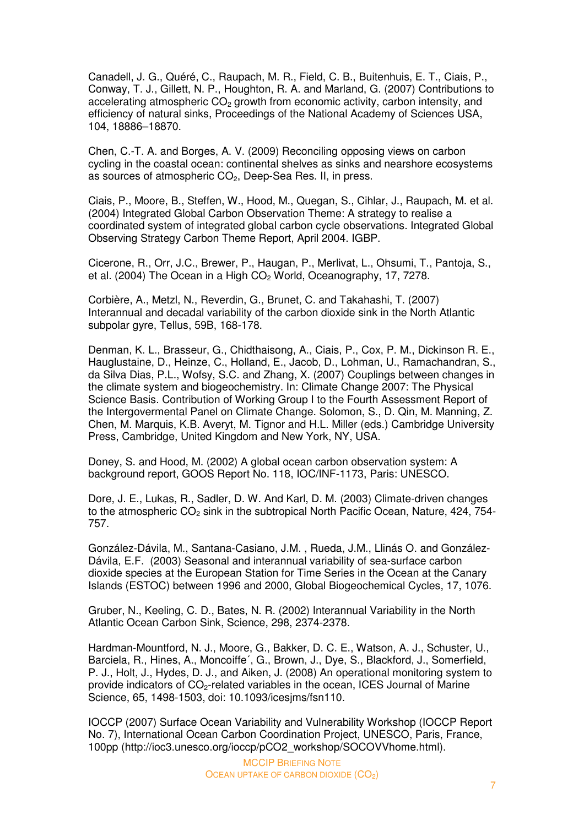Canadell, J. G., Quéré, C., Raupach, M. R., Field, C. B., Buitenhuis, E. T., Ciais, P., Conway, T. J., Gillett, N. P., Houghton, R. A. and Marland, G. (2007) Contributions to accelerating atmospheric  $CO<sub>2</sub>$  growth from economic activity, carbon intensity, and efficiency of natural sinks, Proceedings of the National Academy of Sciences USA, 104, 18886–18870.

Chen, C.-T. A. and Borges, A. V. (2009) Reconciling opposing views on carbon cycling in the coastal ocean: continental shelves as sinks and nearshore ecosystems as sources of atmospheric  $CO<sub>2</sub>$ , Deep-Sea Res. II, in press.

Ciais, P., Moore, B., Steffen, W., Hood, M., Quegan, S., Cihlar, J., Raupach, M. et al. (2004) Integrated Global Carbon Observation Theme: A strategy to realise a coordinated system of integrated global carbon cycle observations. Integrated Global Observing Strategy Carbon Theme Report, April 2004. IGBP.

Cicerone, R., Orr, J.C., Brewer, P., Haugan, P., Merlivat, L., Ohsumi, T., Pantoja, S., et al. (2004) The Ocean in a High  $CO<sub>2</sub>$  World, Oceanography, 17, 7278.

Corbière, A., Metzl, N., Reverdin, G., Brunet, C. and Takahashi, T. (2007) Interannual and decadal variability of the carbon dioxide sink in the North Atlantic subpolar gyre, Tellus, 59B, 168-178.

Denman, K. L., Brasseur, G., Chidthaisong, A., Ciais, P., Cox, P. M., Dickinson R. E., Hauglustaine, D., Heinze, C., Holland, E., Jacob, D., Lohman, U., Ramachandran, S., da Silva Dias, P.L., Wofsy, S.C. and Zhang, X. (2007) Couplings between changes in the climate system and biogeochemistry. In: Climate Change 2007: The Physical Science Basis. Contribution of Working Group I to the Fourth Assessment Report of the Intergovermental Panel on Climate Change. Solomon, S., D. Qin, M. Manning, Z. Chen, M. Marquis, K.B. Averyt, M. Tignor and H.L. Miller (eds.) Cambridge University Press, Cambridge, United Kingdom and New York, NY, USA.

Doney, S. and Hood, M. (2002) A global ocean carbon observation system: A background report, GOOS Report No. 118, IOC/INF-1173, Paris: UNESCO.

Dore, J. E., Lukas, R., Sadler, D. W. And Karl, D. M. (2003) Climate-driven changes to the atmospheric  $CO<sub>2</sub>$  sink in the subtropical North Pacific Ocean, Nature, 424, 754-757.

González-Dávila, M., Santana-Casiano, J.M. , Rueda, J.M., Llinás O. and González-Dávila, E.F. (2003) Seasonal and interannual variability of sea-surface carbon dioxide species at the European Station for Time Series in the Ocean at the Canary Islands (ESTOC) between 1996 and 2000, Global Biogeochemical Cycles, 17, 1076.

Gruber, N., Keeling, C. D., Bates, N. R. (2002) Interannual Variability in the North Atlantic Ocean Carbon Sink, Science, 298, 2374-2378.

Hardman-Mountford, N. J., Moore, G., Bakker, D. C. E., Watson, A. J., Schuster, U., Barciela, R., Hines, A., Moncoiffe´, G., Brown, J., Dye, S., Blackford, J., Somerfield, P. J., Holt, J., Hydes, D. J., and Aiken, J. (2008) An operational monitoring system to provide indicators of  $CO<sub>2</sub>$ -related variables in the ocean, ICES Journal of Marine Science, 65, 1498-1503, doi: 10.1093/icesjms/fsn110.

IOCCP (2007) Surface Ocean Variability and Vulnerability Workshop (IOCCP Report No. 7), International Ocean Carbon Coordination Project, UNESCO, Paris, France, 100pp (http://ioc3.unesco.org/ioccp/pCO2\_workshop/SOCOVVhome.html).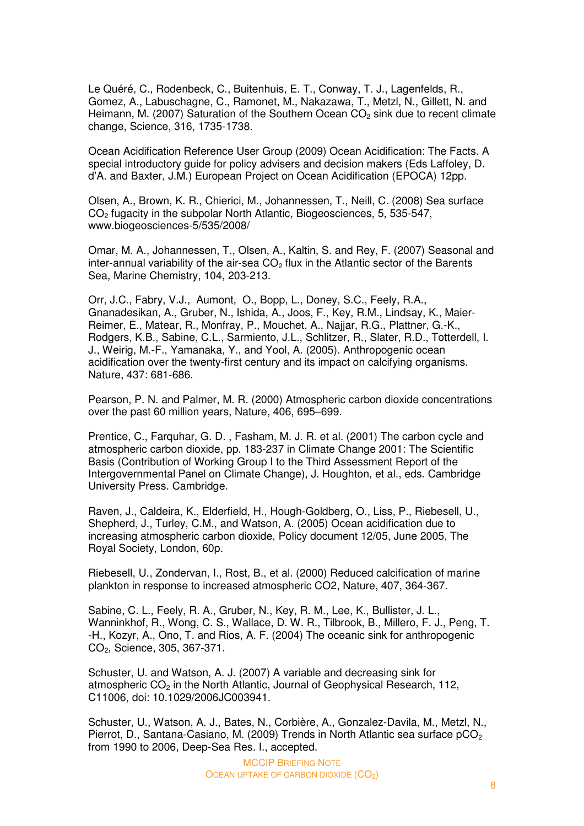Le Quéré, C., Rodenbeck, C., Buitenhuis, E. T., Conway, T. J., Lagenfelds, R., Gomez, A., Labuschagne, C., Ramonet, M., Nakazawa, T., Metzl, N., Gillett, N. and Heimann, M. (2007) Saturation of the Southern Ocean  $CO<sub>2</sub>$  sink due to recent climate change, Science, 316, 1735-1738.

Ocean Acidification Reference User Group (2009) Ocean Acidification: The Facts. A special introductory guide for policy advisers and decision makers (Eds Laffoley, D. d'A. and Baxter, J.M.) European Project on Ocean Acidification (EPOCA) 12pp.

Olsen, A., Brown, K. R., Chierici, M., Johannessen, T., Neill, C. (2008) Sea surface CO2 fugacity in the subpolar North Atlantic, Biogeosciences, 5, 535-547, www.biogeosciences-5/535/2008/

Omar, M. A., Johannessen, T., Olsen, A., Kaltin, S. and Rey, F. (2007) Seasonal and inter-annual variability of the air-sea  $CO<sub>2</sub>$  flux in the Atlantic sector of the Barents Sea, Marine Chemistry, 104, 203-213.

Orr, J.C., Fabry, V.J., Aumont, O., Bopp, L., Doney, S.C., Feely, R.A., Gnanadesikan, A., Gruber, N., Ishida, A., Joos, F., Key, R.M., Lindsay, K., Maier-Reimer, E., Matear, R., Monfray, P., Mouchet, A., Najjar, R.G., Plattner, G.-K., Rodgers, K.B., Sabine, C.L., Sarmiento, J.L., Schlitzer, R., Slater, R.D., Totterdell, I. J., Weirig, M.-F., Yamanaka, Y., and Yool, A. (2005). Anthropogenic ocean acidification over the twenty-first century and its impact on calcifying organisms. Nature, 437: 681-686.

Pearson, P. N. and Palmer, M. R. (2000) Atmospheric carbon dioxide concentrations over the past 60 million years, Nature, 406, 695–699.

Prentice, C., Farquhar, G. D. , Fasham, M. J. R. et al. (2001) The carbon cycle and atmospheric carbon dioxide, pp. 183-237 in Climate Change 2001: The Scientific Basis (Contribution of Working Group I to the Third Assessment Report of the Intergovernmental Panel on Climate Change), J. Houghton, et al., eds. Cambridge University Press. Cambridge.

Raven, J., Caldeira, K., Elderfield, H., Hough-Goldberg, O., Liss, P., Riebesell, U., Shepherd, J., Turley, C.M., and Watson, A. (2005) Ocean acidification due to increasing atmospheric carbon dioxide, Policy document 12/05, June 2005, The Royal Society, London, 60p.

Riebesell, U., Zondervan, I., Rost, B., et al. (2000) Reduced calcification of marine plankton in response to increased atmospheric CO2, Nature, 407, 364-367.

Sabine, C. L., Feely, R. A., Gruber, N., Key, R. M., Lee, K., Bullister, J. L., Wanninkhof, R., Wong, C. S., Wallace, D. W. R., Tilbrook, B., Millero, F. J., Peng, T. -H., Kozyr, A., Ono, T. and Rios, A. F. (2004) The oceanic sink for anthropogenic CO2, Science, 305, 367-371.

Schuster, U. and Watson, A. J. (2007) A variable and decreasing sink for atmospheric CO<sub>2</sub> in the North Atlantic, Journal of Geophysical Research, 112, C11006, doi: 10.1029/2006JC003941.

Schuster, U., Watson, A. J., Bates, N., Corbière, A., Gonzalez-Davila, M., Metzl, N., Pierrot, D., Santana-Casiano, M. (2009) Trends in North Atlantic sea surface  $pCO<sub>2</sub>$ from 1990 to 2006, Deep-Sea Res. I., accepted.